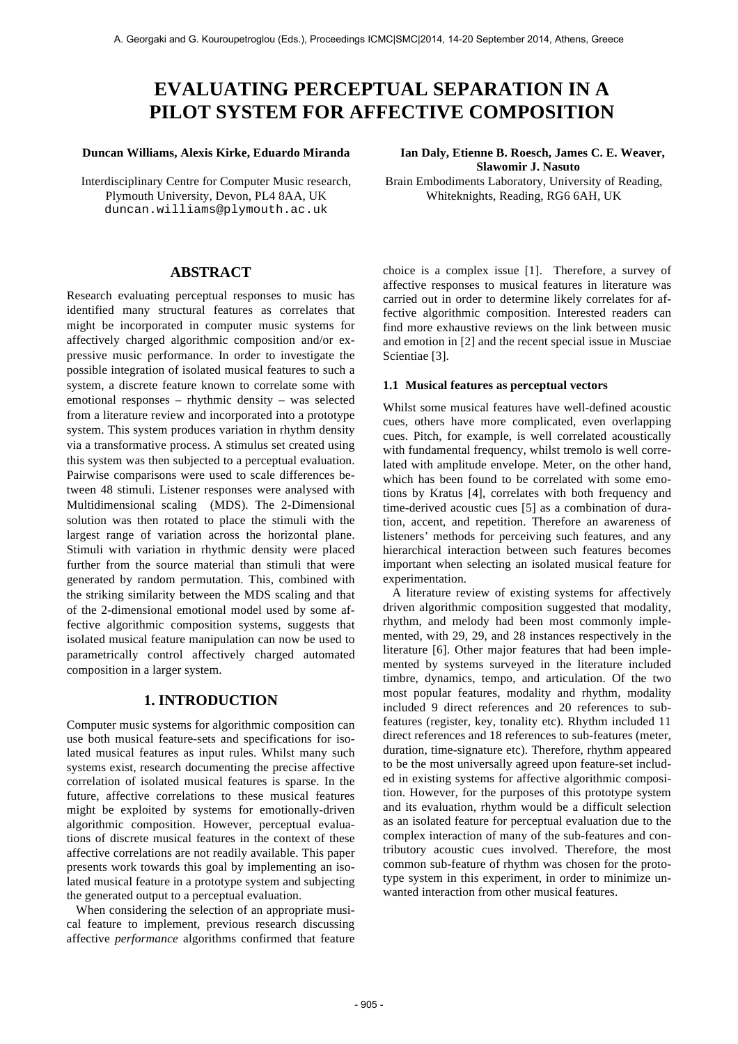# **EVALUATING PERCEPTUAL SEPARATION IN A PILOT SYSTEM FOR AFFECTIVE COMPOSITION**

#### **Duncan Williams, Alexis Kirke, Eduardo Miranda Ian Daly, Etienne B. Roesch, James C. E. Weaver,**

Interdisciplinary Centre for Computer Music research, Plymouth University, Devon, PL4 8AA, UK duncan.williams@plymouth.ac.uk

# **ABSTRACT**

Research evaluating perceptual responses to music has identified many structural features as correlates that might be incorporated in computer music systems for affectively charged algorithmic composition and/or expressive music performance. In order to investigate the possible integration of isolated musical features to such a system, a discrete feature known to correlate some with emotional responses – rhythmic density – was selected from a literature review and incorporated into a prototype system. This system produces variation in rhythm density via a transformative process. A stimulus set created using this system was then subjected to a perceptual evaluation. Pairwise comparisons were used to scale differences between 48 stimuli. Listener responses were analysed with Multidimensional scaling (MDS). The 2-Dimensional solution was then rotated to place the stimuli with the largest range of variation across the horizontal plane. Stimuli with variation in rhythmic density were placed further from the source material than stimuli that were generated by random permutation. This, combined with the striking similarity between the MDS scaling and that of the 2-dimensional emotional model used by some affective algorithmic composition systems, suggests that isolated musical feature manipulation can now be used to parametrically control affectively charged automated composition in a larger system.

# **1. INTRODUCTION**

Computer music systems for algorithmic composition can use both musical feature-sets and specifications for isolated musical features as input rules. Whilst many such systems exist, research documenting the precise affective correlation of isolated musical features is sparse. In the future, affective correlations to these musical features might be exploited by systems for emotionally-driven algorithmic composition. However, perceptual evaluations of discrete musical features in the context of these affective correlations are not readily available. This paper presents work towards this goal by implementing an isolated musical feature in a prototype system and subjecting the generated output to a perceptual evaluation.

 When considering the selection of an appropriate musical feature to implement, previous research discussing affective *performance* algorithms confirmed that feature **Slawomir J. Nasuto**

Brain Embodiments Laboratory, University of Reading, Whiteknights, Reading, RG6 6AH, UK

choice is a complex issue [1]. Therefore, a survey of affective responses to musical features in literature was carried out in order to determine likely correlates for affective algorithmic composition. Interested readers can find more exhaustive reviews on the link between music and emotion in [2] and the recent special issue in Musciae Scientiae [3].

## **1.1 Musical features as perceptual vectors**

Whilst some musical features have well-defined acoustic cues, others have more complicated, even overlapping cues. Pitch, for example, is well correlated acoustically with fundamental frequency, whilst tremolo is well correlated with amplitude envelope. Meter, on the other hand, which has been found to be correlated with some emotions by Kratus [4], correlates with both frequency and time-derived acoustic cues [5] as a combination of duration, accent, and repetition. Therefore an awareness of listeners' methods for perceiving such features, and any hierarchical interaction between such features becomes important when selecting an isolated musical feature for experimentation.

 A literature review of existing systems for affectively driven algorithmic composition suggested that modality, rhythm, and melody had been most commonly implemented, with 29, 29, and 28 instances respectively in the literature [6]. Other major features that had been implemented by systems surveyed in the literature included timbre, dynamics, tempo, and articulation. Of the two most popular features, modality and rhythm, modality included 9 direct references and 20 references to subfeatures (register, key, tonality etc). Rhythm included 11 direct references and 18 references to sub-features (meter, duration, time-signature etc). Therefore, rhythm appeared to be the most universally agreed upon feature-set included in existing systems for affective algorithmic composition. However, for the purposes of this prototype system and its evaluation, rhythm would be a difficult selection as an isolated feature for perceptual evaluation due to the complex interaction of many of the sub-features and contributory acoustic cues involved. Therefore, the most common sub-feature of rhythm was chosen for the prototype system in this experiment, in order to minimize unwanted interaction from other musical features.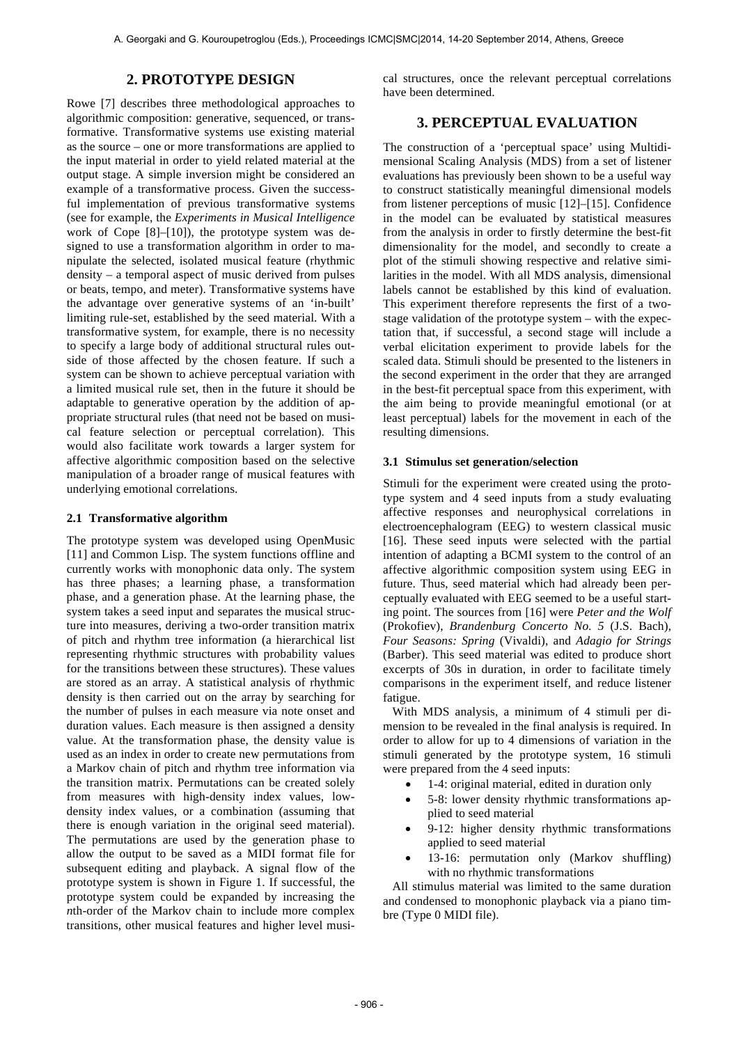## **2. PROTOTYPE DESIGN**

Rowe [7] describes three methodological approaches to algorithmic composition: generative, sequenced, or transformative. Transformative systems use existing material as the source – one or more transformations are applied to the input material in order to yield related material at the output stage. A simple inversion might be considered an example of a transformative process. Given the successful implementation of previous transformative systems (see for example, the *Experiments in Musical Intelligence*  work of Cope [8]–[10]), the prototype system was designed to use a transformation algorithm in order to manipulate the selected, isolated musical feature (rhythmic density – a temporal aspect of music derived from pulses or beats, tempo, and meter). Transformative systems have the advantage over generative systems of an 'in-built' limiting rule-set, established by the seed material. With a transformative system, for example, there is no necessity to specify a large body of additional structural rules outside of those affected by the chosen feature. If such a system can be shown to achieve perceptual variation with a limited musical rule set, then in the future it should be adaptable to generative operation by the addition of appropriate structural rules (that need not be based on musical feature selection or perceptual correlation). This would also facilitate work towards a larger system for affective algorithmic composition based on the selective manipulation of a broader range of musical features with underlying emotional correlations.

#### **2.1 Transformative algorithm**

The prototype system was developed using OpenMusic [11] and Common Lisp. The system functions offline and currently works with monophonic data only. The system has three phases; a learning phase, a transformation phase, and a generation phase. At the learning phase, the system takes a seed input and separates the musical structure into measures, deriving a two-order transition matrix of pitch and rhythm tree information (a hierarchical list representing rhythmic structures with probability values for the transitions between these structures). These values are stored as an array. A statistical analysis of rhythmic density is then carried out on the array by searching for the number of pulses in each measure via note onset and duration values. Each measure is then assigned a density value. At the transformation phase, the density value is used as an index in order to create new permutations from a Markov chain of pitch and rhythm tree information via the transition matrix. Permutations can be created solely from measures with high-density index values, lowdensity index values, or a combination (assuming that there is enough variation in the original seed material). The permutations are used by the generation phase to allow the output to be saved as a MIDI format file for subsequent editing and playback. A signal flow of the prototype system is shown in Figure 1. If successful, the prototype system could be expanded by increasing the *n*th-order of the Markov chain to include more complex transitions, other musical features and higher level musical structures, once the relevant perceptual correlations have been determined.

# **3. PERCEPTUAL EVALUATION**

The construction of a 'perceptual space' using Multidimensional Scaling Analysis (MDS) from a set of listener evaluations has previously been shown to be a useful way to construct statistically meaningful dimensional models from listener perceptions of music [12]–[15]. Confidence in the model can be evaluated by statistical measures from the analysis in order to firstly determine the best-fit dimensionality for the model, and secondly to create a plot of the stimuli showing respective and relative similarities in the model. With all MDS analysis, dimensional labels cannot be established by this kind of evaluation. This experiment therefore represents the first of a twostage validation of the prototype system – with the expectation that, if successful, a second stage will include a verbal elicitation experiment to provide labels for the scaled data. Stimuli should be presented to the listeners in the second experiment in the order that they are arranged in the best-fit perceptual space from this experiment, with the aim being to provide meaningful emotional (or at least perceptual) labels for the movement in each of the resulting dimensions.

#### **3.1 Stimulus set generation/selection**

Stimuli for the experiment were created using the prototype system and 4 seed inputs from a study evaluating affective responses and neurophysical correlations in electroencephalogram (EEG) to western classical music [16]. These seed inputs were selected with the partial intention of adapting a BCMI system to the control of an affective algorithmic composition system using EEG in future. Thus, seed material which had already been perceptually evaluated with EEG seemed to be a useful starting point. The sources from [16] were *Peter and the Wolf* (Prokofiev), *Brandenburg Concerto No. 5* (J.S. Bach), *Four Seasons: Spring* (Vivaldi), and *Adagio for Strings* (Barber). This seed material was edited to produce short excerpts of 30s in duration, in order to facilitate timely comparisons in the experiment itself, and reduce listener fatigue.

 With MDS analysis, a minimum of 4 stimuli per dimension to be revealed in the final analysis is required. In order to allow for up to 4 dimensions of variation in the stimuli generated by the prototype system, 16 stimuli were prepared from the 4 seed inputs:

- 1-4: original material, edited in duration only
- 5-8: lower density rhythmic transformations applied to seed material
- 9-12: higher density rhythmic transformations applied to seed material
- 13-16: permutation only (Markov shuffling) with no rhythmic transformations

 All stimulus material was limited to the same duration and condensed to monophonic playback via a piano timbre (Type 0 MIDI file).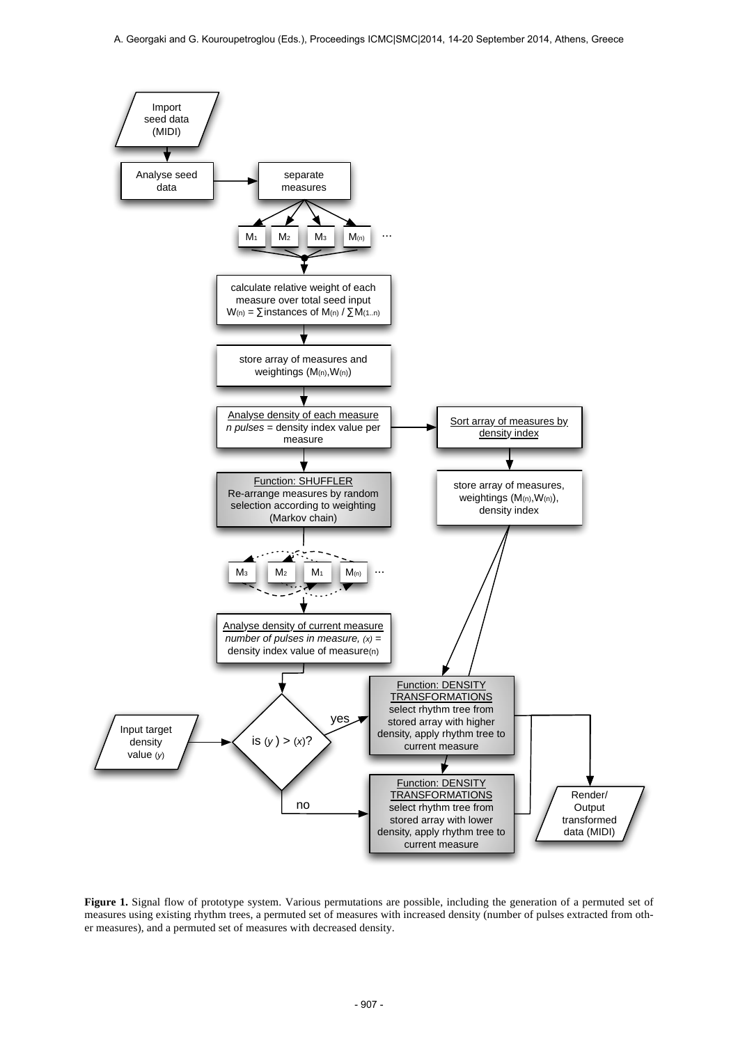

Figure 1. Signal flow of prototype system. Various permutations are possible, including the generation of a permuted set of measures using existing rhythm trees, a permuted set of measures with increased density (number of pulses extracted from other measures), and a permuted set of measures with decreased density.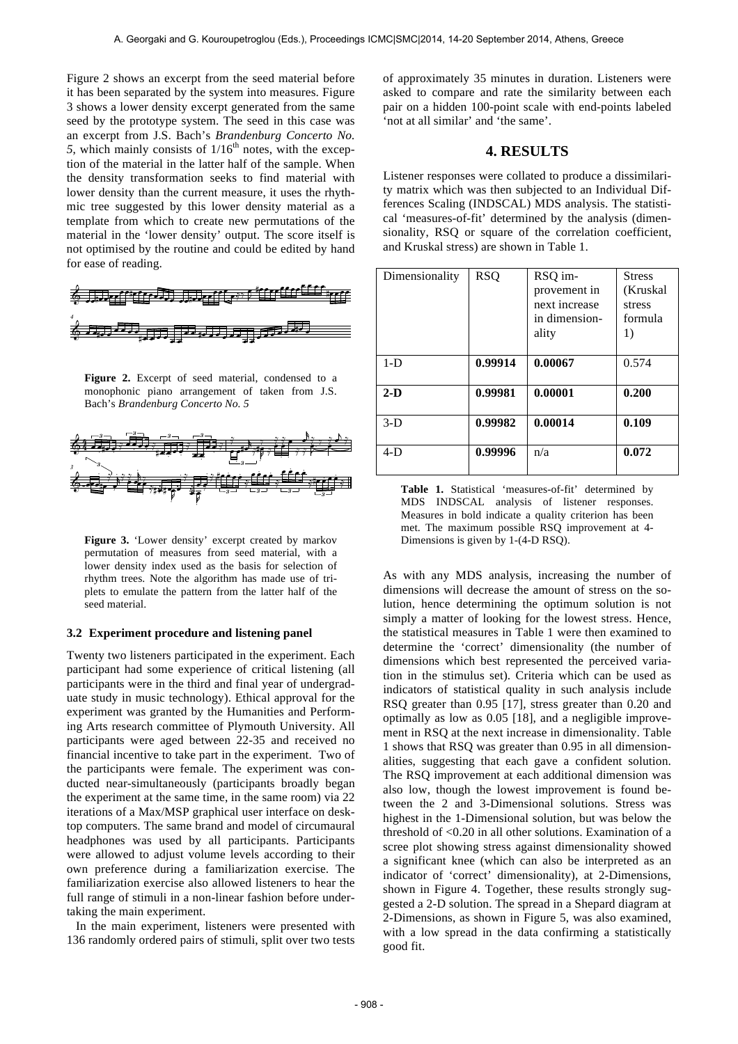Figure 2 shows an excerpt from the seed material before it has been separated by the system into measures. Figure 3 shows a lower density excerpt generated from the same seed by the prototype system. The seed in this case was an excerpt from J.S. Bach's *Brandenburg Concerto No.*  5, which mainly consists of  $1/16<sup>th</sup>$  notes, with the exception of the material in the latter half of the sample. When the density transformation seeks to find material with lower density than the current measure, it uses the rhythmic tree suggested by this lower density material as a template from which to create new permutations of the material in the 'lower density' output. The score itself is not optimised by the routine and could be edited by hand for ease of reading.



**Figure 2.** Excerpt of seed material, condensed to a monophonic piano arrangement of taken from J.S. Bach's *Brandenburg Concerto No. 5*



**Figure 3.** 'Lower density' excerpt created by markov permutation of measures from seed material, with a lower density index used as the basis for selection of rhythm trees. Note the algorithm has made use of triplets to emulate the pattern from the latter half of the seed material.

## **3.2 Experiment procedure and listening panel**

Twenty two listeners participated in the experiment. Each participant had some experience of critical listening (all participants were in the third and final year of undergraduate study in music technology). Ethical approval for the experiment was granted by the Humanities and Performing Arts research committee of Plymouth University. All participants were aged between 22-35 and received no financial incentive to take part in the experiment. Two of the participants were female. The experiment was conducted near-simultaneously (participants broadly began the experiment at the same time, in the same room) via 22 iterations of a Max/MSP graphical user interface on desktop computers. The same brand and model of circumaural headphones was used by all participants. Participants were allowed to adjust volume levels according to their own preference during a familiarization exercise. The familiarization exercise also allowed listeners to hear the full range of stimuli in a non-linear fashion before undertaking the main experiment.

 In the main experiment, listeners were presented with 136 randomly ordered pairs of stimuli, split over two tests of approximately 35 minutes in duration. Listeners were asked to compare and rate the similarity between each pair on a hidden 100-point scale with end-points labeled 'not at all similar' and 'the same'.

# **4. RESULTS**

Listener responses were collated to produce a dissimilarity matrix which was then subjected to an Individual Differences Scaling (INDSCAL) MDS analysis. The statistical 'measures-of-fit' determined by the analysis (dimensionality, RSQ or square of the correlation coefficient, and Kruskal stress) are shown in Table 1.

| Dimensionality | <b>RSQ</b> | RSQ im-<br>provement in<br>next increase<br>in dimension-<br>ality | <b>Stress</b><br>(Kruskal<br>stress<br>formula<br>1) |
|----------------|------------|--------------------------------------------------------------------|------------------------------------------------------|
| $1-D$          | 0.99914    | 0.00067                                                            | 0.574                                                |
| $2-D$          | 0.99981    | 0.00001                                                            | 0.200                                                |
| $3-D$          | 0.99982    | 0.00014                                                            | 0.109                                                |
| $4-D$          | 0.99996    | n/a                                                                | 0.072                                                |

Table 1. Statistical 'measures-of-fit' determined by MDS INDSCAL analysis of listener responses. Measures in bold indicate a quality criterion has been met. The maximum possible RSQ improvement at 4- Dimensions is given by 1-(4-D RSQ).

As with any MDS analysis, increasing the number of dimensions will decrease the amount of stress on the solution, hence determining the optimum solution is not simply a matter of looking for the lowest stress. Hence, the statistical measures in Table 1 were then examined to determine the 'correct' dimensionality (the number of dimensions which best represented the perceived variation in the stimulus set). Criteria which can be used as indicators of statistical quality in such analysis include RSQ greater than 0.95 [17], stress greater than 0.20 and optimally as low as 0.05 [18], and a negligible improvement in RSQ at the next increase in dimensionality. Table 1 shows that RSQ was greater than 0.95 in all dimensionalities, suggesting that each gave a confident solution. The RSQ improvement at each additional dimension was also low, though the lowest improvement is found between the 2 and 3-Dimensional solutions. Stress was highest in the 1-Dimensional solution, but was below the threshold of <0.20 in all other solutions. Examination of a scree plot showing stress against dimensionality showed a significant knee (which can also be interpreted as an indicator of 'correct' dimensionality), at 2-Dimensions, shown in Figure 4. Together, these results strongly suggested a 2-D solution. The spread in a Shepard diagram at 2-Dimensions, as shown in Figure 5, was also examined, with a low spread in the data confirming a statistically good fit.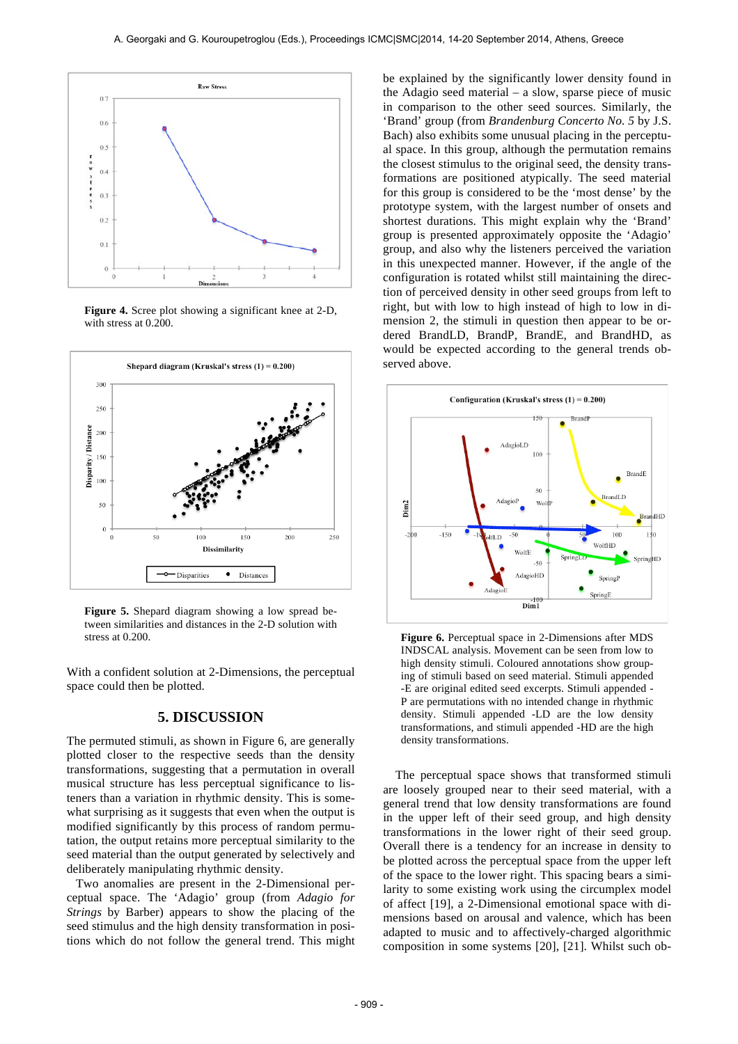

**Figure 4.** Scree plot showing a significant knee at 2-D, with stress at 0.200.



**Figure 5.** Shepard diagram showing a low spread between similarities and distances in the 2-D solution with stress at 0.200.

With a confident solution at 2-Dimensions, the perceptual space could then be plotted.

## **5. DISCUSSION**

The permuted stimuli, as shown in Figure 6, are generally plotted closer to the respective seeds than the density transformations, suggesting that a permutation in overall musical structure has less perceptual significance to listeners than a variation in rhythmic density. This is somewhat surprising as it suggests that even when the output is modified significantly by this process of random permutation, the output retains more perceptual similarity to the seed material than the output generated by selectively and deliberately manipulating rhythmic density.

 Two anomalies are present in the 2-Dimensional perceptual space. The 'Adagio' group (from *Adagio for Strings* by Barber) appears to show the placing of the seed stimulus and the high density transformation in positions which do not follow the general trend. This might be explained by the significantly lower density found in the Adagio seed material – a slow, sparse piece of music in comparison to the other seed sources. Similarly, the 'Brand' group (from *Brandenburg Concerto No. 5* by J.S. Bach) also exhibits some unusual placing in the perceptual space. In this group, although the permutation remains the closest stimulus to the original seed, the density transformations are positioned atypically. The seed material for this group is considered to be the 'most dense' by the prototype system, with the largest number of onsets and shortest durations. This might explain why the 'Brand' group is presented approximately opposite the 'Adagio' group, and also why the listeners perceived the variation in this unexpected manner. However, if the angle of the configuration is rotated whilst still maintaining the direction of perceived density in other seed groups from left to right, but with low to high instead of high to low in dimension 2, the stimuli in question then appear to be ordered BrandLD, BrandP, BrandE, and BrandHD, as would be expected according to the general trends observed above.



**Figure 6.** Perceptual space in 2-Dimensions after MDS INDSCAL analysis. Movement can be seen from low to high density stimuli. Coloured annotations show grouping of stimuli based on seed material. Stimuli appended -E are original edited seed excerpts. Stimuli appended - P are permutations with no intended change in rhythmic density. Stimuli appended -LD are the low density transformations, and stimuli appended -HD are the high density transformations.

 The perceptual space shows that transformed stimuli are loosely grouped near to their seed material, with a general trend that low density transformations are found in the upper left of their seed group, and high density transformations in the lower right of their seed group. Overall there is a tendency for an increase in density to be plotted across the perceptual space from the upper left of the space to the lower right. This spacing bears a similarity to some existing work using the circumplex model of affect [19], a 2-Dimensional emotional space with dimensions based on arousal and valence, which has been adapted to music and to affectively-charged algorithmic composition in some systems [20], [21]. Whilst such ob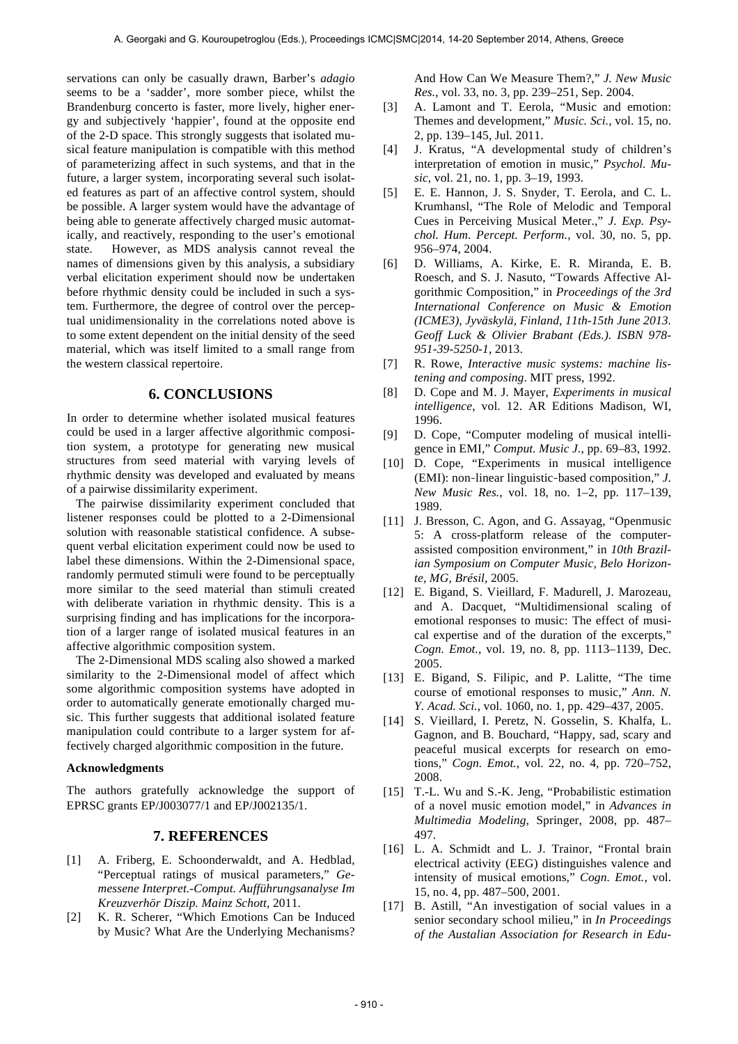servations can only be casually drawn, Barber's *adagio* seems to be a 'sadder', more somber piece, whilst the Brandenburg concerto is faster, more lively, higher energy and subjectively 'happier', found at the opposite end of the 2-D space. This strongly suggests that isolated musical feature manipulation is compatible with this method of parameterizing affect in such systems, and that in the future, a larger system, incorporating several such isolated features as part of an affective control system, should be possible. A larger system would have the advantage of being able to generate affectively charged music automatically, and reactively, responding to the user's emotional state. However, as MDS analysis cannot reveal the names of dimensions given by this analysis, a subsidiary verbal elicitation experiment should now be undertaken before rhythmic density could be included in such a system. Furthermore, the degree of control over the perceptual unidimensionality in the correlations noted above is to some extent dependent on the initial density of the seed material, which was itself limited to a small range from the western classical repertoire.

# **6. CONCLUSIONS**

In order to determine whether isolated musical features could be used in a larger affective algorithmic composition system, a prototype for generating new musical structures from seed material with varying levels of rhythmic density was developed and evaluated by means of a pairwise dissimilarity experiment.

 The pairwise dissimilarity experiment concluded that listener responses could be plotted to a 2-Dimensional solution with reasonable statistical confidence. A subsequent verbal elicitation experiment could now be used to label these dimensions. Within the 2-Dimensional space, randomly permuted stimuli were found to be perceptually more similar to the seed material than stimuli created with deliberate variation in rhythmic density. This is a surprising finding and has implications for the incorporation of a larger range of isolated musical features in an affective algorithmic composition system.

 The 2-Dimensional MDS scaling also showed a marked similarity to the 2-Dimensional model of affect which some algorithmic composition systems have adopted in order to automatically generate emotionally charged music. This further suggests that additional isolated feature manipulation could contribute to a larger system for affectively charged algorithmic composition in the future.

#### **Acknowledgments**

The authors gratefully acknowledge the support of EPRSC grants EP/J003077/1 and EP/J002135/1.

## **7. REFERENCES**

- [1] A. Friberg, E. Schoonderwaldt, and A. Hedblad, "Perceptual ratings of musical parameters," *Gemessene Interpret.-Comput. Aufführungsanalyse Im Kreuzverhör Diszip. Mainz Schott*, 2011.
- [2] K. R. Scherer, "Which Emotions Can be Induced by Music? What Are the Underlying Mechanisms?

And How Can We Measure Them?," *J. New Music Res.*, vol. 33, no. 3, pp. 239–251, Sep. 2004.

- [3] A. Lamont and T. Eerola, "Music and emotion: Themes and development," *Music. Sci.*, vol. 15, no. 2, pp. 139–145, Jul. 2011.
- [4] J. Kratus, "A developmental study of children's interpretation of emotion in music," *Psychol. Music*, vol. 21, no. 1, pp. 3–19, 1993.
- [5] E. E. Hannon, J. S. Snyder, T. Eerola, and C. L. Krumhansl, "The Role of Melodic and Temporal Cues in Perceiving Musical Meter.," *J. Exp. Psychol. Hum. Percept. Perform.*, vol. 30, no. 5, pp. 956–974, 2004.
- [6] D. Williams, A. Kirke, E. R. Miranda, E. B. Roesch, and S. J. Nasuto, "Towards Affective Algorithmic Composition," in *Proceedings of the 3rd International Conference on Music & Emotion (ICME3), Jyväskylä, Finland, 11th-15th June 2013. Geoff Luck & Olivier Brabant (Eds.). ISBN 978- 951-39-5250-1*, 2013.
- [7] R. Rowe, *Interactive music systems: machine listening and composing*. MIT press, 1992.
- [8] D. Cope and M. J. Mayer, *Experiments in musical intelligence*, vol. 12. AR Editions Madison, WI, 1996.
- [9] D. Cope, "Computer modeling of musical intelligence in EMI," *Comput. Music J.*, pp. 69–83, 1992.
- [10] D. Cope, "Experiments in musical intelligence (EMI): non‐linear linguistic‐based composition," *J. New Music Res.*, vol. 18, no. 1–2, pp. 117–139, 1989.
- [11] J. Bresson, C. Agon, and G. Assayag, "Openmusic 5: A cross-platform release of the computerassisted composition environment," in *10th Brazilian Symposium on Computer Music, Belo Horizonte, MG, Brésil*, 2005.
- [12] E. Bigand, S. Vieillard, F. Madurell, J. Marozeau, and A. Dacquet, "Multidimensional scaling of emotional responses to music: The effect of musical expertise and of the duration of the excerpts," *Cogn. Emot.*, vol. 19, no. 8, pp. 1113–1139, Dec. 2005.
- [13] E. Bigand, S. Filipic, and P. Lalitte, "The time course of emotional responses to music," *Ann. N. Y. Acad. Sci.*, vol. 1060, no. 1, pp. 429–437, 2005.
- [14] S. Vieillard, I. Peretz, N. Gosselin, S. Khalfa, L. Gagnon, and B. Bouchard, "Happy, sad, scary and peaceful musical excerpts for research on emotions," *Cogn. Emot.*, vol. 22, no. 4, pp. 720–752, 2008.
- [15] T.-L. Wu and S.-K. Jeng, "Probabilistic estimation of a novel music emotion model," in *Advances in Multimedia Modeling*, Springer, 2008, pp. 487– 497.
- [16] L. A. Schmidt and L. J. Trainor, "Frontal brain electrical activity (EEG) distinguishes valence and intensity of musical emotions," *Cogn. Emot.*, vol. 15, no. 4, pp. 487–500, 2001.
- [17] B. Astill, "An investigation of social values in a senior secondary school milieu," in *In Proceedings of the Austalian Association for Research in Edu-*